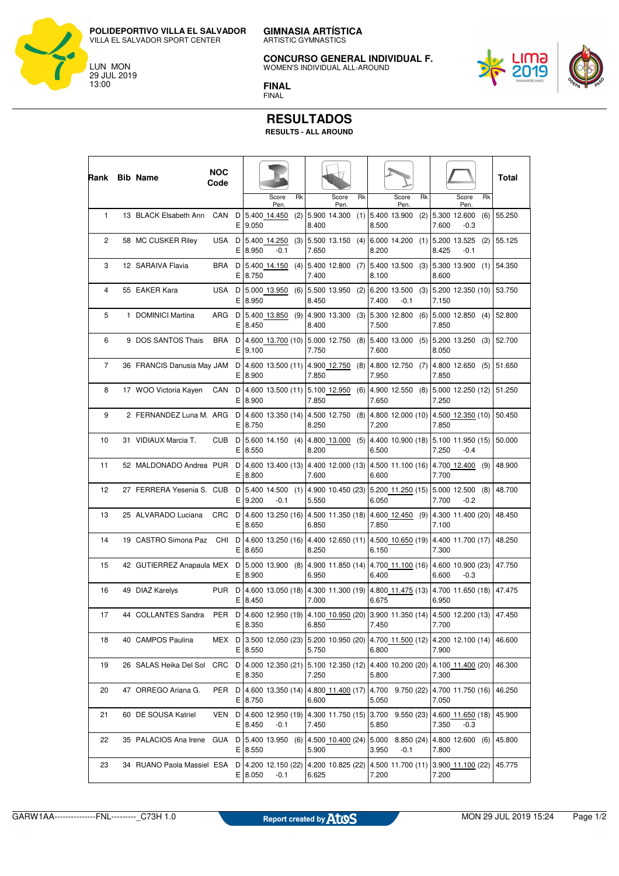**GIMNASIA ARTÍSTICA** ARTISTIC GYMNASTICS **POLIDEPORTIVO VILLA EL SALVADOR**

**CONCURSO GENERAL INDIVIDUAL F.**

WOMEN'S INDIVIDUAL ALL-AROUND

<u>LIMƏ</u><br>2019



**FINAL** FINAL

## **RESULTADOS**

**RESULTS - ALL AROUND**

| Rank | <b>Bib Name</b>            | <b>NOC</b><br>Code      |         |                                 |     |       |                                                       |     |       |                                         |    |       |                            |     | Total  |
|------|----------------------------|-------------------------|---------|---------------------------------|-----|-------|-------------------------------------------------------|-----|-------|-----------------------------------------|----|-------|----------------------------|-----|--------|
|      |                            |                         |         | Score<br>Pen.                   | Rk  |       | Score<br>Pen                                          | Rk  |       | Score<br>Pen                            | Rk |       | Score<br>Pen.              | Rk  |        |
| 1    | 13 BLACK Elsabeth Ann      | CAN<br>D                | E 9.050 | 5.400 14.450                    | (2) | 8.400 | 5.900 14.300                                          |     | 8.500 | $(1)$ 5.400 13.900                      |    | 7.600 | $(2)$ 5.300 12.600<br>-0.3 | (6) | 55.250 |
| 2    | 58 MC CUSKER Riley         | USA<br>D<br>ΕI          | 8.950   | 5.400 14.250<br>-0.1            | (3) | 7.650 | 5.500 13.150                                          | (4) | 8.200 | $6.000$ 14.200 (1) 5.200 13.525         |    | 8.425 | $-0.1$                     | (2) | 55.125 |
| 3    | 12 SARAIVA Flavia          | BRA<br>D                | E 8.750 | 5.400 14.150                    | (4) | 7.400 | 5.400 12.800                                          | (7) | 8.100 | $5.400$ 13.500 (3) $5.300$ 13.900 (1)   |    | 8.600 |                            |     | 54.350 |
| 4    | 55 EAKER Kara              | USA<br>D                | E 8.950 | 5.000 13.950                    | (6) | 8.450 | 5.500 13.950                                          | (2) | 7.400 | 6.200 13.500<br>-0.1                    |    | 7.150 | $(3)$ 5.200 12.350 (10)    |     | 53.750 |
| 5    | 1 DOMINICI Martina         | ARG<br>D                | E 8.450 | 5.400 13.850                    | (9) | 8.400 | 4.900 13.300                                          | (3) | 7.500 | 5.300 12.800                            |    | 7.850 | $(6)$ 5.000 12.850 (4)     |     | 52.800 |
| 6    | 9 DOS SANTOS Thais         | BRA<br>D                | E 9.100 | 4.600 13.700 (10)               |     | 7.750 | 5.000 12.750                                          | (8) | 7.600 | $5.400$ 13.000 (5) $5.200$ 13.250 (3)   |    | 8.050 |                            |     | 52.700 |
| 7    | 36 FRANCIS Danusia May JAM | D<br>Е.                 | 8.900   | 4.600 13.500 (11)               |     | 7.850 | 4.900 12.750                                          | (8) | 7.950 | 4.800 12.750 (7) 4.800 12.650 (5)       |    | 7.850 |                            |     | 51.650 |
| 8    | 17 WOO Victoria Kayen      | CAN<br>D<br>E.          | 8.900   | 4.600 13.500 (11)               |     | 7.850 | 5.100 12.950                                          | (6) | 7.650 | 4.900 12.550 (8) 5.000 12.250 (12)      |    | 7.250 |                            |     | 51.250 |
| 9    | 2 FERNANDEZ Luna M. ARG    | D<br>E.                 | 8.750   | 4.600 13.350 (14)               |     | 8.250 | 4.500 12.750                                          | (8) | 7.200 | 4.800 12.000 (10) 4.500 12.350 (10)     |    | 7.850 |                            |     | 50.450 |
| 10   | 31 VIDIAUX Marcia T.       | CUB<br>D<br>E.          | 8.550   | 5.600 14.150 (4)                |     | 8.200 | 4.800 13.000                                          | (5) | 6.500 | 4.400 10.900 (18) 5.100 11.950 (15)     |    | 7.250 | $-0.4$                     |     | 50.000 |
| 11   | 52 MALDONADO Andrea PUR    | D<br>Е.                 | 8.800   | 4.600 13.400 (13)               |     | 7.600 | 4.400 12.000 (13)                                     |     | 6.600 | 4.500 11.100 (16) 4.700 12.400          |    | 7.700 |                            | (9) | 48.900 |
| 12   | 27 FERRERA Yesenia S. CUB  | D<br>E.                 | 9.200   | 5.400 14.500<br>$-0.1$          | (1) | 5.550 | 4.900 10.450 (23)                                     |     | 6.050 | 5.200 11.250 (15)                       |    | 7.700 | 5.000 12.500<br>$-0.2$     | (8) | 48.700 |
| 13   | 25 ALVARADO Luciana        | CRC<br>D<br>E.          | 8.650   | 4.600 13.250 (16)               |     | 6.850 | 4.500 11.350 (18)                                     |     | 7.850 | 4.600 12.450 (9) 4.300 11.400 (20)      |    | 7.100 |                            |     | 48.450 |
| 14   | 19 CASTRO Simona Paz       | D<br>CHI<br>E.          | 8.650   | 4.600 13.250 (16)               |     | 8.250 | 4.400 12.650 (11)                                     |     | 6.150 | 4.500 10.650 (19)                       |    | 7.300 | 4.400 11.700 (17)          |     | 48.250 |
| 15   | 42 GUTIERREZ Anapaula MEX  | D<br>Е.                 | 8.900   | $5.000$ 13.900 (8)              |     | 6.950 | 4.900 11.850 (14)                                     |     | 6.400 | 4.700 11.100 (16) 4.600 10.900 (23)     |    | 6.600 | $-0.3$                     |     | 47.750 |
| 16   | 49 DIAZ Karelys            | PUR<br>D<br>E.          | 8.450   | 4.600 13.050 (18)               |     | 7.000 | 4.300 11.300 (19)                                     |     | 6.675 | 4.800 11.475 (13) 4.700 11.650 (18)     |    | 6.950 |                            |     | 47.475 |
| 17   | 44 COLLANTES Sandra        | PER                     | E 8.350 | D 4.600 12.950 (19)             |     | 6.850 | 4.100 10.950 (20)                                     |     | 7.450 | 3.900 11.350 (14) 4.500 12.200 (13)     |    | 7.700 |                            |     | 47.450 |
| 18   | 40 CAMPOS Paulina          | MEX D 3.500 12.050 (23) | E 8.550 |                                 |     | 5.750 | 5.200 10.950 (20)                                     |     | 6.800 | 4.700 11.500 (12) 4.200 12.100 (14)     |    | 7.900 |                            |     | 46.600 |
| 19   | 26 SALAS Heika Del Sol CRC |                         | E 8.350 | D   4.000 12.350 (21)           |     | 7.250 | 5.100 12.350 (12) 4.400 10.200 (20) 4.100 11.400 (20) |     | 5.800 |                                         |    | 7.300 |                            |     | 46.300 |
| 20   | 47 ORREGO Ariana G.        | PER                     | E 8.750 | $D$ 4.600 13.350 (14)           |     | 6.600 | 4.800 11.400 (17)                                     |     | 5.050 | 4.700 9.750 (22) 4.700 11.750 (16)      |    | 7.050 |                            |     | 46.250 |
| 21   | 60 DE SOUSA Katriel        | VEN                     | E 8.450 | D   4.600 12.950 (19)<br>$-0.1$ |     | 7.450 | 4.300 11.750 (15)                                     |     | 5.850 | $ 3.700 \t9.550(23) 4.600 \t11.650(18)$ |    | 7.350 | $-0.3$                     |     | 45.900 |
| 22   | 35 PALACIOS Ana Irene GUA  |                         | E 8.550 | $D$ 5.400 13.950 (6)            |     | 5.900 | 4.500 10.400 (24) 5.000 8.850 (24) 4.800 12.600 (6)   |     | 3.950 | $-0.1$                                  |    | 7.800 |                            |     | 45.800 |
| 23   | 34 RUANO Paola Massiel ESA |                         | E 8.050 | D 4.200 12.150 (22)<br>$-0.1$   |     | 6.625 | 4.200 10.825 (22)                                     |     | 7.200 | 4.500 11.700 (11) 3.900 11.100 (22)     |    | 7.200 |                            |     | 45.775 |